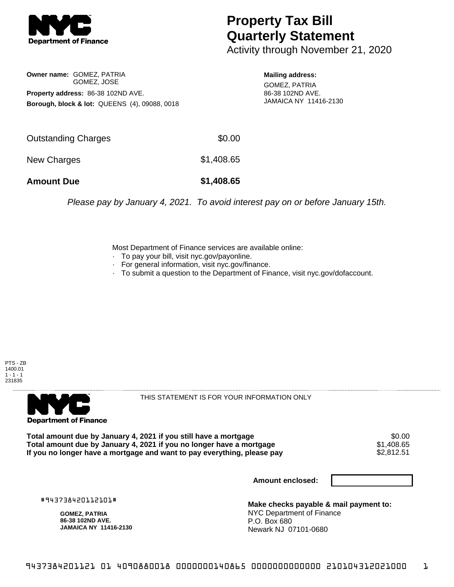

## **Property Tax Bill Quarterly Statement**

Activity through November 21, 2020

**Owner name:** GOMEZ, PATRIA GOMEZ, JOSE **Property address:** 86-38 102ND AVE. **Borough, block & lot:** QUEENS (4), 09088, 0018 **Mailing address:**

GOMEZ, PATRIA 86-38 102ND AVE. JAMAICA NY 11416-2130

| <b>Amount Due</b>   | \$1,408.65 |
|---------------------|------------|
| New Charges         | \$1,408.65 |
| Outstanding Charges | \$0.00     |

Please pay by January 4, 2021. To avoid interest pay on or before January 15th.

Most Department of Finance services are available online:

- · To pay your bill, visit nyc.gov/payonline.
- For general information, visit nyc.gov/finance.
- · To submit a question to the Department of Finance, visit nyc.gov/dofaccount.

PTS - ZB 1400.01  $1 - 1 - 1$ 231835



THIS STATEMENT IS FOR YOUR INFORMATION ONLY

Total amount due by January 4, 2021 if you still have a mortgage \$0.00<br>Total amount due by January 4, 2021 if you no longer have a mortgage \$1.408.65 **Total amount due by January 4, 2021 if you no longer have a mortgage**  $$1,408.65$ **<br>If you no longer have a mortgage and want to pay everything, please pay**  $$2,812.51$ If you no longer have a mortgage and want to pay everything, please pay

**Amount enclosed:**

#943738420112101#

**GOMEZ, PATRIA 86-38 102ND AVE. JAMAICA NY 11416-2130**

**Make checks payable & mail payment to:** NYC Department of Finance P.O. Box 680 Newark NJ 07101-0680